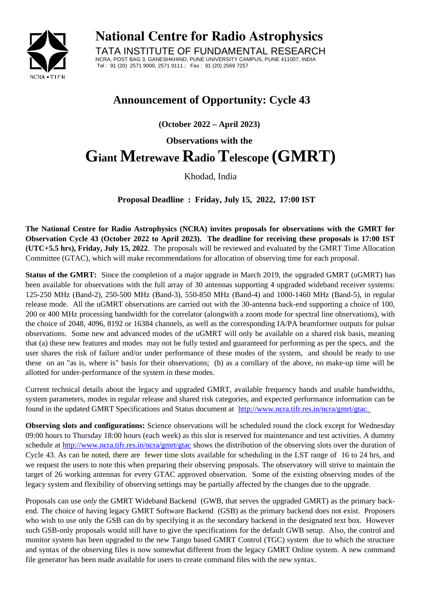

**National Centre for Radio Astrophysics**

TATA INSTITUTE OF FUNDAMENTAL RESEARCH NCRA, POST BAG 3, GANESHKHIND, PUNE UNIVERSITY CAMPUS, PUNE 411007, INDIA Tel : 91 (20) 2571 9000, 2571 9111 ; Fax : 91 (20) 2569 7257

## **Announcement of Opportunity: Cycle 43**

**(October 2022 – April 2023)**

**Observations with the** 

## **Giant Metrewave Radio Telescope (GMRT)**

Khodad, India

**Proposal Deadline : Friday, July 15, 2022, 17:00 IST**

**The National Centre for Radio Astrophysics (NCRA) invites proposals for observations with the GMRT for Observation Cycle 43 (October 2022 to April 2023). The deadline for receiving these proposals is 17:00 IST (UTC+5.5 hrs), Friday, July 15, 2022**. The proposals will be reviewed and evaluated by the GMRT Time Allocation Committee (GTAC), which will make recommendations for allocation of observing time for each proposal.

**Status of the GMRT:** Since the completion of a major upgrade in March 2019, the upgraded GMRT (uGMRT) has been available for observations with the full array of 30 antennas supporting 4 upgraded wideband receiver systems: 125-250 MHz (Band-2), 250-500 MHz (Band-3), 550-850 MHz (Band-4) and 1000-1460 MHz (Band-5), in regular release mode. All the uGMRT observations are carried out with the 30-antenna back-end supporting a choice of 100, 200 or 400 MHz processing bandwidth for the correlator (alongwith a zoom mode for spectral line observations), with the choice of 2048, 4096, 8192 or 16384 channels, as well as the corresponding IA/PA beamformer outputs for pulsar observations. Some new and advanced modes of the uGMRT will only be available on a shared risk basis, meaning that (a) these new features and modes may not be fully tested and guaranteed for performing as per the specs, and the user shares the risk of failure and/or under performance of these modes of the system, and should be ready to use these on an "as is, where is" basis for their observations; (b) as a corollary of the above, no make-up time will be allotted for under-performance of the system in these modes.

Current technical details about the legacy and upgraded GMRT, available frequency bands and usable bandwidths, system parameters, modes in regular release and shared risk categories, and expected performance information can be found in the updated GMRT Specifications and Status document at <http://www.ncra.tifr.res.in/ncra/gmrt/gtac>.

**Observing slots and configurations:** Science observations will be scheduled round the clock except for Wednesday 09:00 hours to Thursday 18:00 hours (each week) as this slot is reserved for maintenance and test activities. A dummy schedule at<http://www.ncra.tifr.res.in/ncra/gmrt/gtac> shows the distribution of the observing slots over the duration of Cycle 43. As can be noted, there are fewer time slots available for scheduling in the LST range of 16 to 24 hrs, and we request the users to note this when preparing their observing proposals. The observatory will strive to maintain the target of 26 working antennas for every GTAC approved observation. Some of the existing observing modes of the legacy system and flexibility of observing settings may be partially affected by the changes due to the upgrade.

Proposals can use *only* the GMRT Wideband Backend (GWB, that serves the upgraded GMRT) as the primary backend. The choice of having legacy GMRT Software Backend (GSB) as the primary backend does not exist. Proposers who wish to use only the GSB can do by specifying it as the secondary backend in the designated text box. However such GSB-only proposals would still have to give the specifications for the default GWB setup. Also, the control and monitor system has been upgraded to the new Tango based GMRT Control (TGC) system due to which the structure and syntax of the observing files is now somewhat different from the legacy GMRT Online system. A new command file generator has been made available for users to create command files with the new syntax.